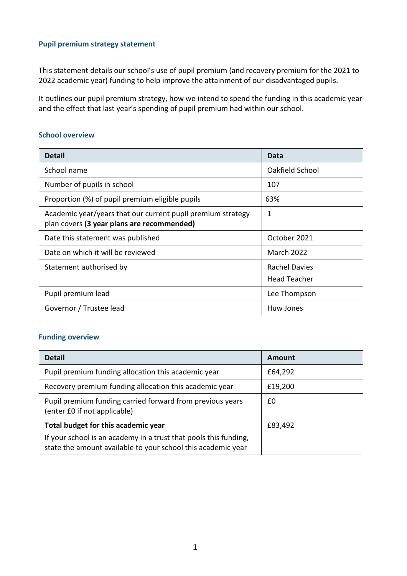### **Pupil premium strategy statement**

This statement details our school's use of pupil premium (and recovery premium for the 2021 to 2022 academic year) funding to help improve the attainment of our disadvantaged pupils.

It outlines our pupil premium strategy, how we intend to spend the funding in this academic year and the effect that last year's spending of pupil premium had within our school.

#### **School overview**

| <b>Detail</b>                                                                                             | Data                 |
|-----------------------------------------------------------------------------------------------------------|----------------------|
| School name                                                                                               | Oakfield School      |
| Number of pupils in school                                                                                | 107                  |
| Proportion (%) of pupil premium eligible pupils                                                           | 63%                  |
| Academic year/years that our current pupil premium strategy<br>plan covers (3 year plans are recommended) | 1                    |
| Date this statement was published                                                                         | October 2021         |
| Date on which it will be reviewed                                                                         | <b>March 2022</b>    |
| Statement authorised by                                                                                   | <b>Rachel Davies</b> |
|                                                                                                           | <b>Head Teacher</b>  |
| Pupil premium lead                                                                                        | Lee Thompson         |
| Governor / Trustee lead                                                                                   | Huw Jones            |

### **Funding overview**

| <b>Detail</b>                                                                                                                    | Amount  |
|----------------------------------------------------------------------------------------------------------------------------------|---------|
| Pupil premium funding allocation this academic year                                                                              | £64,292 |
| Recovery premium funding allocation this academic year                                                                           | £19,200 |
| Pupil premium funding carried forward from previous years<br>(enter £0 if not applicable)                                        | £0      |
| Total budget for this academic year                                                                                              | £83,492 |
| If your school is an academy in a trust that pools this funding,<br>state the amount available to your school this academic year |         |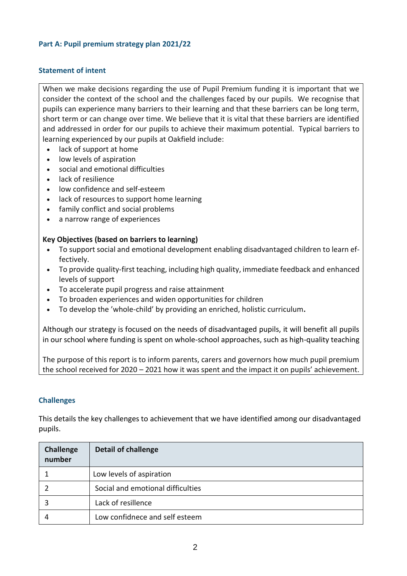### **Part A: Pupil premium strategy plan 2021/22**

### **Statement of intent**

When we make decisions regarding the use of Pupil Premium funding it is important that we consider the context of the school and the challenges faced by our pupils. We recognise that pupils can experience many barriers to their learning and that these barriers can be long term, short term or can change over time. We believe that it is vital that these barriers are identified and addressed in order for our pupils to achieve their maximum potential. Typical barriers to learning experienced by our pupils at Oakfield include:

- lack of support at home
- low levels of aspiration
- social and emotional difficulties
- lack of resilience
- low confidence and self-esteem
- lack of resources to support home learning
- family conflict and social problems
- a narrow range of experiences

#### **Key Objectives (based on barriers to learning)**

- To support social and emotional development enabling disadvantaged children to learn effectively.
- To provide quality-first teaching, including high quality, immediate feedback and enhanced levels of support
- To accelerate pupil progress and raise attainment
- To broaden experiences and widen opportunities for children
- To develop the 'whole-child' by providing an enriched, holistic curriculum**.**

Although our strategy is focused on the needs of disadvantaged pupils, it will benefit all pupils in our school where funding is spent on whole-school approaches, such as high-quality teaching

The purpose of this report is to inform parents, carers and governors how much pupil premium the school received for 2020 – 2021 how it was spent and the impact it on pupils' achievement.

### **Challenges**

This details the key challenges to achievement that we have identified among our disadvantaged pupils.

| <b>Challenge</b><br>number | <b>Detail of challenge</b>        |
|----------------------------|-----------------------------------|
|                            | Low levels of aspiration          |
|                            | Social and emotional difficulties |
|                            | Lack of resillence                |
|                            | Low confidnece and self esteem    |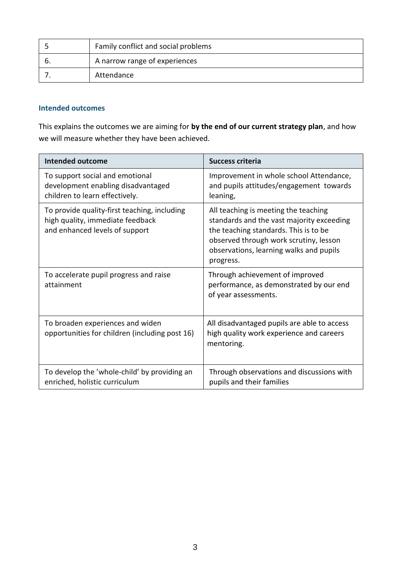| Family conflict and social problems |
|-------------------------------------|
| A narrow range of experiences       |
| Attendance                          |

### **Intended outcomes**

This explains the outcomes we are aiming for **by the end of our current strategy plan**, and how we will measure whether they have been achieved.

| Intended outcome                                                                                                   | Success criteria                                                                                                                                                                                                             |
|--------------------------------------------------------------------------------------------------------------------|------------------------------------------------------------------------------------------------------------------------------------------------------------------------------------------------------------------------------|
| To support social and emotional<br>development enabling disadvantaged<br>children to learn effectively.            | Improvement in whole school Attendance,<br>and pupils attitudes/engagement towards<br>leaning,                                                                                                                               |
| To provide quality-first teaching, including<br>high quality, immediate feedback<br>and enhanced levels of support | All teaching is meeting the teaching<br>standards and the vast majority exceeding<br>the teaching standards. This is to be<br>observed through work scrutiny, lesson<br>observations, learning walks and pupils<br>progress. |
| To accelerate pupil progress and raise<br>attainment                                                               | Through achievement of improved<br>performance, as demonstrated by our end<br>of year assessments.                                                                                                                           |
| To broaden experiences and widen<br>opportunities for children (including post 16)                                 | All disadvantaged pupils are able to access<br>high quality work experience and careers<br>mentoring.                                                                                                                        |
| To develop the 'whole-child' by providing an<br>enriched, holistic curriculum                                      | Through observations and discussions with<br>pupils and their families                                                                                                                                                       |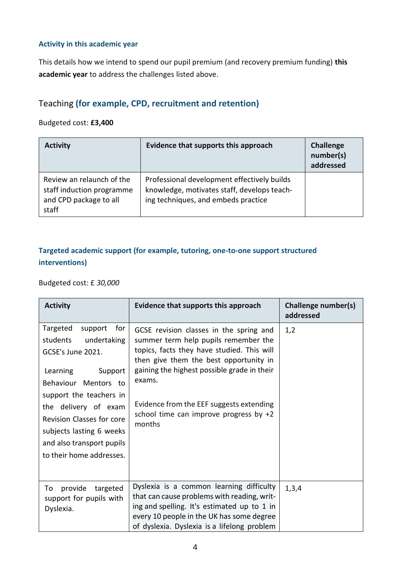### **Activity in this academic year**

This details how we intend to spend our pupil premium (and recovery premium funding) **this academic year** to address the challenges listed above.

# Teaching **(for example, CPD, recruitment and retention)**

### Budgeted cost: **£3,400**

| <b>Activity</b>                                                                           | Evidence that supports this approach                                                                                              | Challenge<br>number(s)<br>addressed |
|-------------------------------------------------------------------------------------------|-----------------------------------------------------------------------------------------------------------------------------------|-------------------------------------|
| Review an relaunch of the<br>staff induction programme<br>and CPD package to all<br>staff | Professional development effectively builds<br>knowledge, motivates staff, develops teach-<br>ing techniques, and embeds practice |                                     |

### **Targeted academic support (for example, tutoring, one-to-one support structured interventions)**

### Budgeted cost: £ *30,000*

| <b>Activity</b>                                                                                                                                                                                                                                                                                | Evidence that supports this approach                                                                                                                                                                                                                                                                                               | Challenge number(s)<br>addressed |
|------------------------------------------------------------------------------------------------------------------------------------------------------------------------------------------------------------------------------------------------------------------------------------------------|------------------------------------------------------------------------------------------------------------------------------------------------------------------------------------------------------------------------------------------------------------------------------------------------------------------------------------|----------------------------------|
| Targeted<br>support<br>for<br>undertaking<br>students<br>GCSE's June 2021.<br>Learning<br>Support<br>Behaviour Mentors to<br>support the teachers in<br>the delivery of exam<br>Revision Classes for core<br>subjects lasting 6 weeks<br>and also transport pupils<br>to their home addresses. | GCSE revision classes in the spring and<br>summer term help pupils remember the<br>topics, facts they have studied. This will<br>then give them the best opportunity in<br>gaining the highest possible grade in their<br>exams.<br>Evidence from the EEF suggests extending<br>school time can improve progress by $+2$<br>months | 1,2                              |
| provide<br>targeted<br>To<br>support for pupils with<br>Dyslexia.                                                                                                                                                                                                                              | Dyslexia is a common learning difficulty<br>that can cause problems with reading, writ-<br>ing and spelling. It's estimated up to 1 in<br>every 10 people in the UK has some degree<br>of dyslexia. Dyslexia is a lifelong problem                                                                                                 | 1,3,4                            |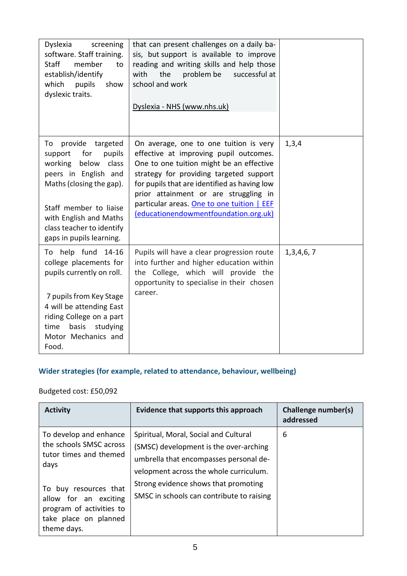| Dyslexia<br>screening<br>software. Staff training.<br>Staff<br>member<br>to<br>establish/identify<br>which<br>pupils<br>show<br>dyslexic traits.                                                                                              | that can present challenges on a daily ba-<br>sis, but support is available to improve<br>reading and writing skills and help those<br>the<br>problem be<br>successful at<br>with<br>school and work<br>Dyslexia - NHS (www.nhs.uk)                                                                                                                     |           |
|-----------------------------------------------------------------------------------------------------------------------------------------------------------------------------------------------------------------------------------------------|---------------------------------------------------------------------------------------------------------------------------------------------------------------------------------------------------------------------------------------------------------------------------------------------------------------------------------------------------------|-----------|
| provide targeted<br>To<br>pupils<br>support<br>for<br>working below<br>class<br>peers in English and<br>Maths (closing the gap).<br>Staff member to liaise<br>with English and Maths<br>class teacher to identify<br>gaps in pupils learning. | On average, one to one tuition is very<br>effective at improving pupil outcomes.<br>One to one tuition might be an effective<br>strategy for providing targeted support<br>for pupils that are identified as having low<br>prior attainment or are struggling in<br>particular areas. One to one tuition   EEF<br>(educationendowmentfoundation.org.uk) | 1, 3, 4   |
| To help fund 14-16<br>college placements for<br>pupils currently on roll.<br>7 pupils from Key Stage<br>4 will be attending East<br>riding College on a part<br>basis<br>studying<br>time<br>Motor Mechanics and<br>Food.                     | Pupils will have a clear progression route<br>into further and higher education within<br>the College, which will provide the<br>opportunity to specialise in their chosen<br>career.                                                                                                                                                                   | 1,3,4,6,7 |

# **Wider strategies (for example, related to attendance, behaviour, wellbeing)**

# Budgeted cost: £50,092

| <b>Activity</b>                                                                                                    | Evidence that supports this approach                                                                                                                                | Challenge number(s)<br>addressed |
|--------------------------------------------------------------------------------------------------------------------|---------------------------------------------------------------------------------------------------------------------------------------------------------------------|----------------------------------|
| To develop and enhance<br>the schools SMSC across<br>tutor times and themed<br>days                                | Spiritual, Moral, Social and Cultural<br>(SMSC) development is the over-arching<br>umbrella that encompasses personal de-<br>velopment across the whole curriculum. | 6                                |
| To buy resources that<br>allow for an exciting<br>program of activities to<br>take place on planned<br>theme days. | Strong evidence shows that promoting<br>SMSC in schools can contribute to raising                                                                                   |                                  |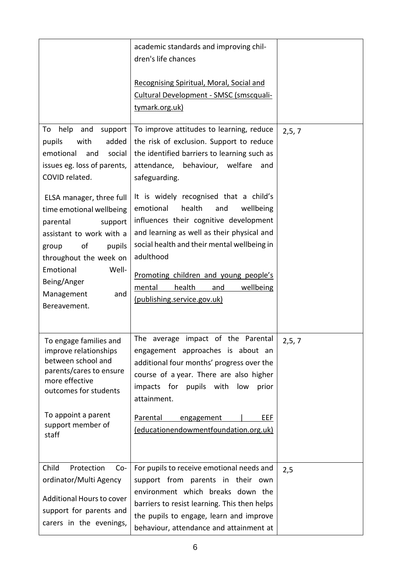|                                                                                                                                                                                                                                                                                                                                                                                | academic standards and improving chil-<br>dren's life chances<br>Recognising Spiritual, Moral, Social and<br>Cultural Development - SMSC (smscquali-<br>tymark.org.uk)                                                                                                                                                                                                                                                                                                                                                                                    |         |
|--------------------------------------------------------------------------------------------------------------------------------------------------------------------------------------------------------------------------------------------------------------------------------------------------------------------------------------------------------------------------------|-----------------------------------------------------------------------------------------------------------------------------------------------------------------------------------------------------------------------------------------------------------------------------------------------------------------------------------------------------------------------------------------------------------------------------------------------------------------------------------------------------------------------------------------------------------|---------|
| help<br>and<br>support<br>To<br>with<br>added<br>pupils<br>emotional<br>and<br>social<br>issues eg. loss of parents,<br>COVID related.<br>ELSA manager, three full<br>time emotional wellbeing<br>parental<br>support<br>assistant to work with a<br>of<br>pupils<br>group<br>throughout the week on<br>Emotional<br>Well-<br>Being/Anger<br>Management<br>and<br>Bereavement. | To improve attitudes to learning, reduce<br>the risk of exclusion. Support to reduce<br>the identified barriers to learning such as<br>attendance,<br>behaviour, welfare<br>and<br>safeguarding.<br>It is widely recognised that a child's<br>emotional<br>health<br>wellbeing<br>and<br>influences their cognitive development<br>and learning as well as their physical and<br>social health and their mental wellbeing in<br>adulthood<br>Promoting children and young people's<br>wellbeing<br>mental<br>health<br>and<br>(publishing.service.gov.uk) | 2, 5, 7 |
| To engage families and<br>improve relationships<br>between school and<br>parents/cares to ensure<br>more effective<br>outcomes for students<br>To appoint a parent<br>support member of<br>staff                                                                                                                                                                               | The average impact of the Parental<br>engagement approaches is about an<br>additional four months' progress over the<br>course of a year. There are also higher<br>impacts for pupils with<br>low<br>prior<br>attainment.<br><b>Parental</b><br>EEF<br>engagement<br>(educationendowmentfoundation.org.uk)                                                                                                                                                                                                                                                | 2, 5, 7 |
| Child<br>Protection<br>$Co-$<br>ordinator/Multi Agency<br>Additional Hours to cover<br>support for parents and<br>carers in the evenings,                                                                                                                                                                                                                                      | For pupils to receive emotional needs and<br>support from parents in their own<br>environment which breaks down the<br>barriers to resist learning. This then helps<br>the pupils to engage, learn and improve<br>behaviour, attendance and attainment at                                                                                                                                                                                                                                                                                                 | 2,5     |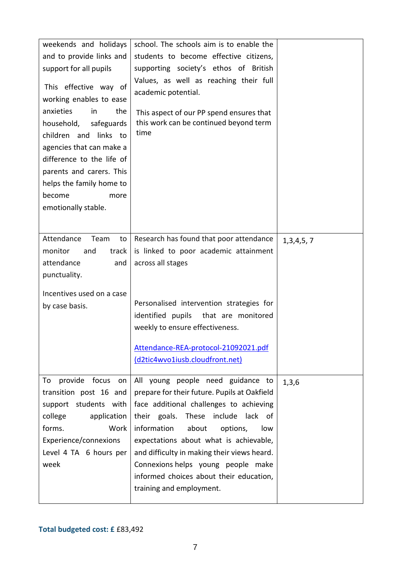| weekends and holidays                                                                                                                                                                                                                                                                     | school. The schools aim is to enable the                                                                                                                    |           |
|-------------------------------------------------------------------------------------------------------------------------------------------------------------------------------------------------------------------------------------------------------------------------------------------|-------------------------------------------------------------------------------------------------------------------------------------------------------------|-----------|
| and to provide links and                                                                                                                                                                                                                                                                  | students to become effective citizens,                                                                                                                      |           |
| support for all pupils                                                                                                                                                                                                                                                                    | supporting society's ethos of British                                                                                                                       |           |
| This effective way of<br>working enables to ease<br>anxieties<br>in<br>the<br>household,<br>safeguards<br>children and links to<br>agencies that can make a<br>difference to the life of<br>parents and carers. This<br>helps the family home to<br>become<br>more<br>emotionally stable. | Values, as well as reaching their full<br>academic potential.<br>This aspect of our PP spend ensures that<br>this work can be continued beyond term<br>time |           |
|                                                                                                                                                                                                                                                                                           |                                                                                                                                                             |           |
| Attendance<br>Team<br>to                                                                                                                                                                                                                                                                  | Research has found that poor attendance                                                                                                                     | 1,3,4,5,7 |
| monitor<br>and<br>track                                                                                                                                                                                                                                                                   | is linked to poor academic attainment                                                                                                                       |           |
| attendance<br>and                                                                                                                                                                                                                                                                         | across all stages                                                                                                                                           |           |
| punctuality.                                                                                                                                                                                                                                                                              |                                                                                                                                                             |           |
| Incentives used on a case                                                                                                                                                                                                                                                                 |                                                                                                                                                             |           |
| by case basis.                                                                                                                                                                                                                                                                            | Personalised intervention strategies for                                                                                                                    |           |
|                                                                                                                                                                                                                                                                                           | identified pupils<br>that are monitored                                                                                                                     |           |
|                                                                                                                                                                                                                                                                                           | weekly to ensure effectiveness.                                                                                                                             |           |
|                                                                                                                                                                                                                                                                                           |                                                                                                                                                             |           |
|                                                                                                                                                                                                                                                                                           | Attendance-REA-protocol-21092021.pdf                                                                                                                        |           |
|                                                                                                                                                                                                                                                                                           | (d2tic4wvo1iusb.cloudfront.net)                                                                                                                             |           |
| provide focus on<br>To                                                                                                                                                                                                                                                                    | All young people need guidance to                                                                                                                           |           |
| transition post 16 and                                                                                                                                                                                                                                                                    | prepare for their future. Pupils at Oakfield                                                                                                                | 1,3,6     |
| support students with                                                                                                                                                                                                                                                                     | face additional challenges to achieving                                                                                                                     |           |
| college<br>application                                                                                                                                                                                                                                                                    | their goals.<br>These<br>include<br>lack of                                                                                                                 |           |
| forms.<br>Work                                                                                                                                                                                                                                                                            | information<br>about<br>options,<br>low                                                                                                                     |           |
|                                                                                                                                                                                                                                                                                           | expectations about what is achievable,                                                                                                                      |           |
| Experience/connexions                                                                                                                                                                                                                                                                     | and difficulty in making their views heard.                                                                                                                 |           |
| Level 4 TA 6 hours per<br>week                                                                                                                                                                                                                                                            |                                                                                                                                                             |           |
|                                                                                                                                                                                                                                                                                           | Connexions helps young people make                                                                                                                          |           |
|                                                                                                                                                                                                                                                                                           | informed choices about their education,<br>training and employment.                                                                                         |           |
|                                                                                                                                                                                                                                                                                           |                                                                                                                                                             |           |